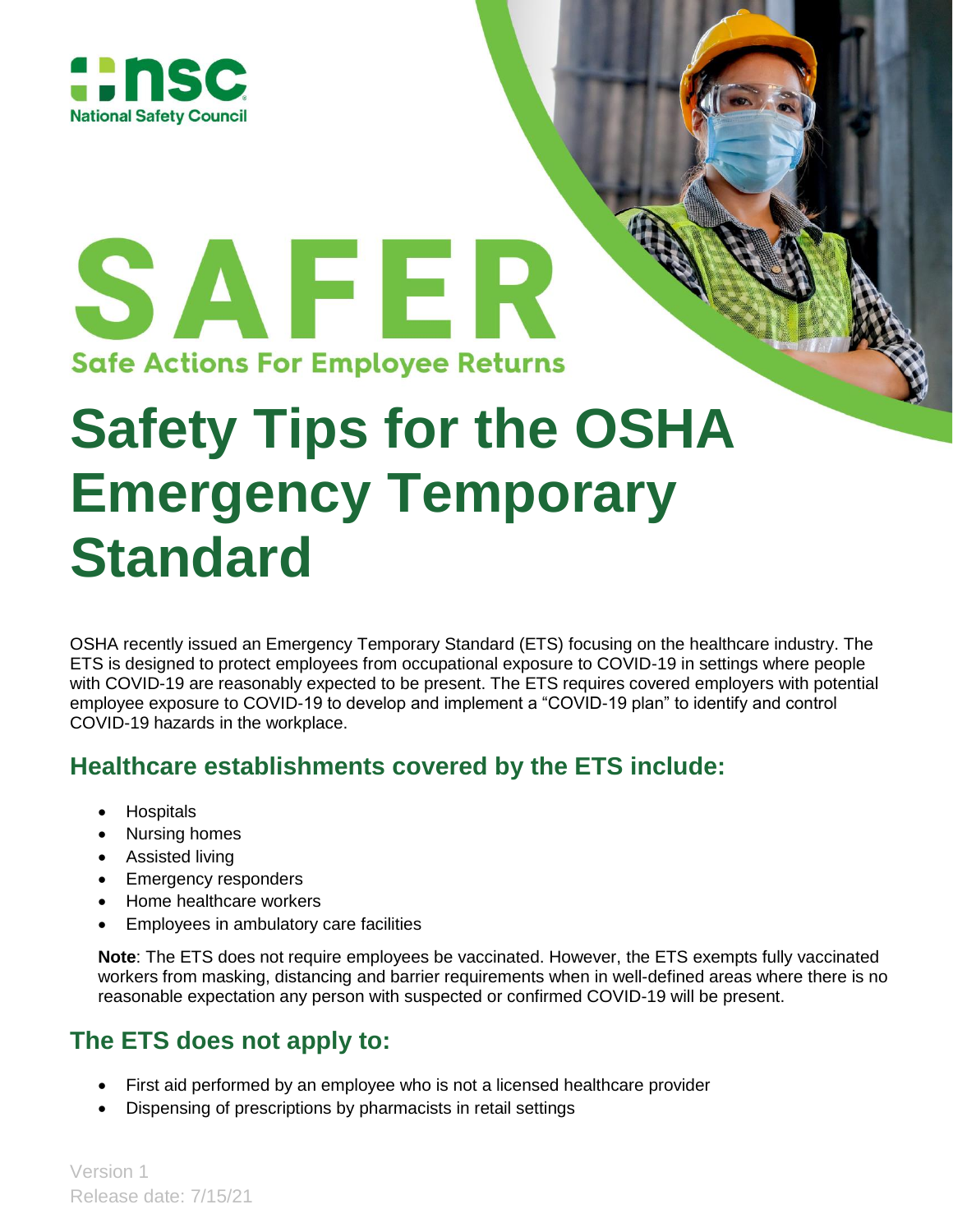

SAFER **Safe Actions For Employee Returns** 

# **Safety Tips for the OSHA Emergency Temporary Standard**

OSHA recently issued an Emergency Temporary Standard (ETS) focusing on the healthcare industry. The ETS is designed to protect employees from occupational exposure to COVID-19 in settings where people with COVID-19 are reasonably expected to be present. The ETS requires covered employers with potential employee exposure to COVID-19 to develop and implement a "COVID-19 plan" to identify and control COVID-19 hazards in the workplace.

## **Healthcare establishments covered by the ETS include:**

- **•** Hospitals
- Nursing homes
- Assisted living
- Emergency responders
- Home healthcare workers
- Employees in ambulatory care facilities

**Note**: The ETS does not require employees be vaccinated. However, the ETS exempts fully vaccinated workers from masking, distancing and barrier requirements when in well-defined areas where there is no reasonable expectation any person with suspected or confirmed COVID-19 will be present.

## **The ETS does not apply to:**

- First aid performed by an employee who is not a licensed healthcare provider
- Dispensing of prescriptions by pharmacists in retail settings

Version 1 Release date: 7/15/21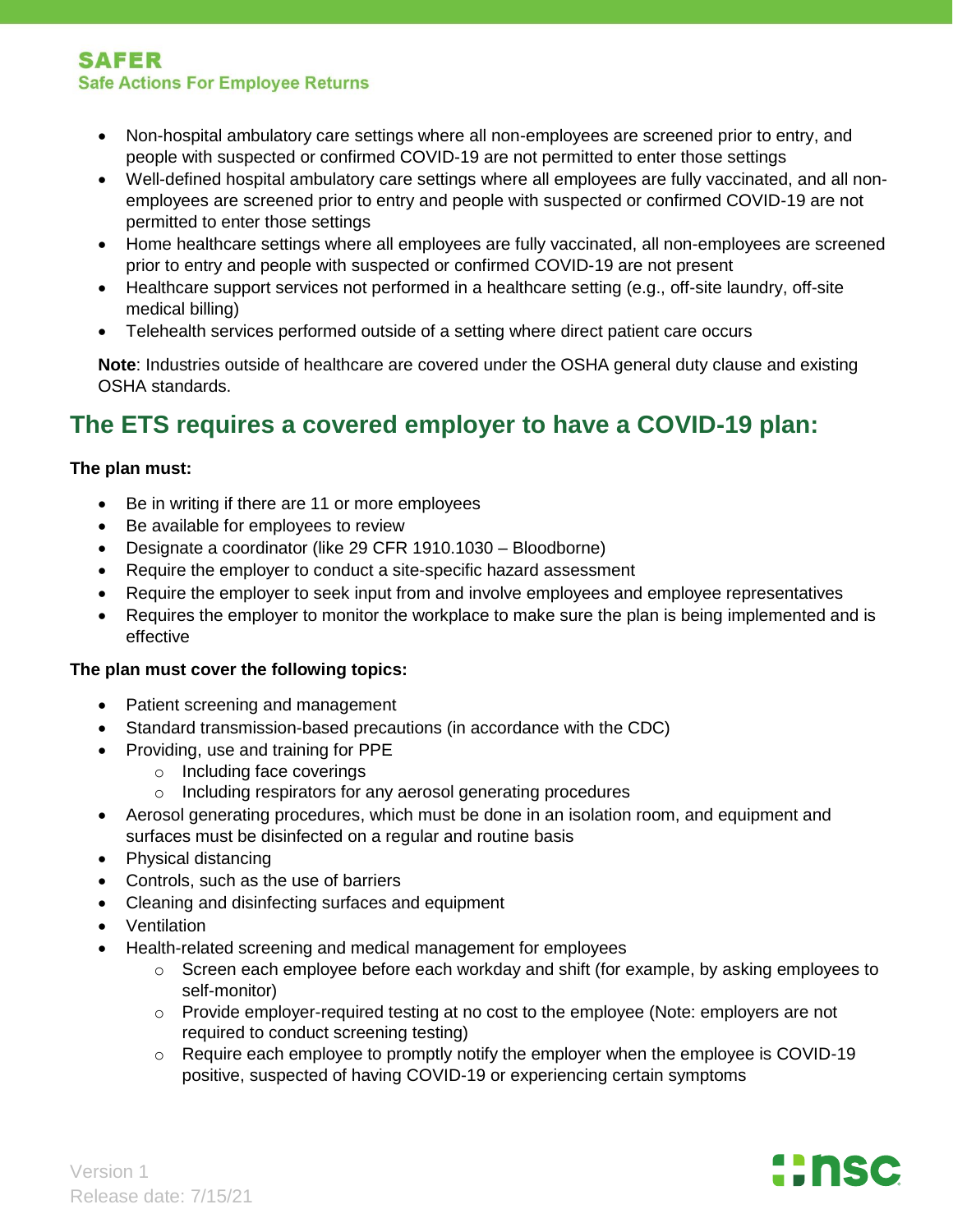#### **SAFER Safe Actions For Employee Returns**

- Non-hospital ambulatory care settings where all non-employees are screened prior to entry, and people with suspected or confirmed COVID-19 are not permitted to enter those settings
- Well-defined hospital ambulatory care settings where all employees are fully vaccinated, and all nonemployees are screened prior to entry and people with suspected or confirmed COVID-19 are not permitted to enter those settings
- Home healthcare settings where all employees are fully vaccinated, all non-employees are screened prior to entry and people with suspected or confirmed COVID-19 are not present
- Healthcare support services not performed in a healthcare setting (e.g., off-site laundry, off-site medical billing)
- Telehealth services performed outside of a setting where direct patient care occurs

**Note**: Industries outside of healthcare are covered under the OSHA general duty clause and existing OSHA standards.

## **The ETS requires a covered employer to have a COVID-19 plan:**

#### **The plan must:**

- Be in writing if there are 11 or more employees
- Be available for employees to review
- Designate a coordinator (like 29 CFR 1910.1030 Bloodborne)
- Require the employer to conduct a site-specific hazard assessment
- Require the employer to seek input from and involve employees and employee representatives
- Requires the employer to monitor the workplace to make sure the plan is being implemented and is effective

#### **The plan must cover the following topics:**

- Patient screening and management
- Standard transmission-based precautions (in accordance with the CDC)
- Providing, use and training for PPE
	- o Including face coverings
	- o Including respirators for any aerosol generating procedures
- Aerosol generating procedures, which must be done in an isolation room, and equipment and surfaces must be disinfected on a regular and routine basis
- Physical distancing
- Controls, such as the use of barriers
- Cleaning and disinfecting surfaces and equipment
- Ventilation
- Health-related screening and medical management for employees
	- o Screen each employee before each workday and shift (for example, by asking employees to self-monitor)
	- $\circ$  Provide employer-required testing at no cost to the employee (Note: employers are not required to conduct screening testing)
	- o Require each employee to promptly notify the employer when the employee is COVID-19 positive, suspected of having COVID-19 or experiencing certain symptoms